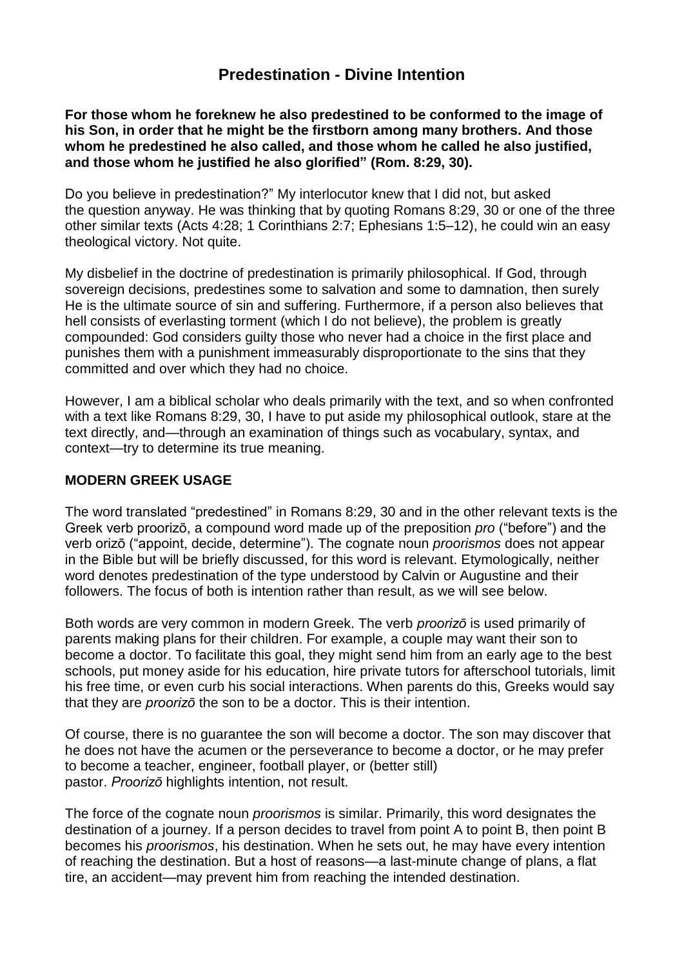# **[Predestination -](https://www.ministrymagazine.org/) Divine Intention**

**For those whom he foreknew he also predestined to be conformed to the image of his Son, in order that he might be the firstborn among many brothers. And those whom he predestined he also called, and those whom he called he also justified, and those whom he justified he also glorified" [\(Rom.](https://biblia.com/bible/esv/Rom.%208.29) 8:29, [30\)](https://biblia.com/bible/esv/Rom%208.30).**

Do you believe in predestination?" My interlocutor knew that I did not, but asked the question anyway. He was thinking that by quoting [Romans](https://biblia.com/bible/esv/Rom%208.29) 8:29, [30](https://biblia.com/bible/esv/Romans%208.30) or one of the three other similar texts [\(Acts](https://biblia.com/bible/esv/Acts%204.28) 4:28; 1 [Corinthians](https://biblia.com/bible/esv/1%20Cor.%202.7) 2:7; [Ephesians](https://biblia.com/bible/esv/Eph.%201.5%E2%80%9312) 1:5–12), he could win an easy theological victory. Not quite.

My disbelief in the doctrine of predestination is primarily philosophical. If God, through sovereign decisions, predestines some to salvation and some to damnation, then surely He is the ultimate source of sin and suffering. Furthermore, if a person also believes that hell consists of everlasting torment (which I do not believe), the problem is greatly compounded: God considers guilty those who never had a choice in the first place and punishes them with a punishment immeasurably disproportionate to the sins that they committed and over which they had no choice.

However, I am a biblical scholar who deals primarily with the text, and so when confronted with a text like [Romans](https://biblia.com/bible/esv/Rom%208.29) 8:29, [30,](https://biblia.com/bible/esv/Romans%208.30) I have to put aside my philosophical outlook, stare at the text directly, and—through an examination of things such as vocabulary, syntax, and context—try to determine its true meaning.

#### **MODERN GREEK USAGE**

The word translated "predestined" in [Romans](https://biblia.com/bible/esv/Rom%208.29) 8:29, [30](https://biblia.com/bible/esv/Romans%208.30) and in the other relevant texts is the Greek verb proorizō, a compound word made up of the preposition *pro* ("before") and the verb orizō ("appoint, decide, determine"). The cognate noun *proorismos* does not appear in the Bible but will be briefly discussed, for this word is relevant. Etymologically, neither word denotes predestination of the type understood by Calvin or Augustine and their followers. The focus of both is intention rather than result, as we will see below.

Both words are very common in modern Greek. The verb *proorizō* is used primarily of parents making plans for their children. For example, a couple may want their son to become a doctor. To facilitate this goal, they might send him from an early age to the best schools, put money aside for his education, hire private tutors for afterschool tutorials, limit his free time, or even curb his social interactions. When parents do this, Greeks would say that they are *proorizō* the son to be a doctor. This is their intention.

Of course, there is no guarantee the son will become a doctor. The son may discover that he does not have the acumen or the perseverance to become a doctor, or he may prefer to become a teacher, engineer, football player, or (better still) pastor. *Proorizō* highlights intention, not result.

The force of the cognate noun *proorismos* is similar. Primarily, this word designates the destination of a journey. If a person decides to travel from point A to point B, then point B becomes his *proorismos*, his destination. When he sets out, he may have every intention of reaching the destination. But a host of reasons—a last-minute change of plans, a flat tire, an accident—may prevent him from reaching the intended destination.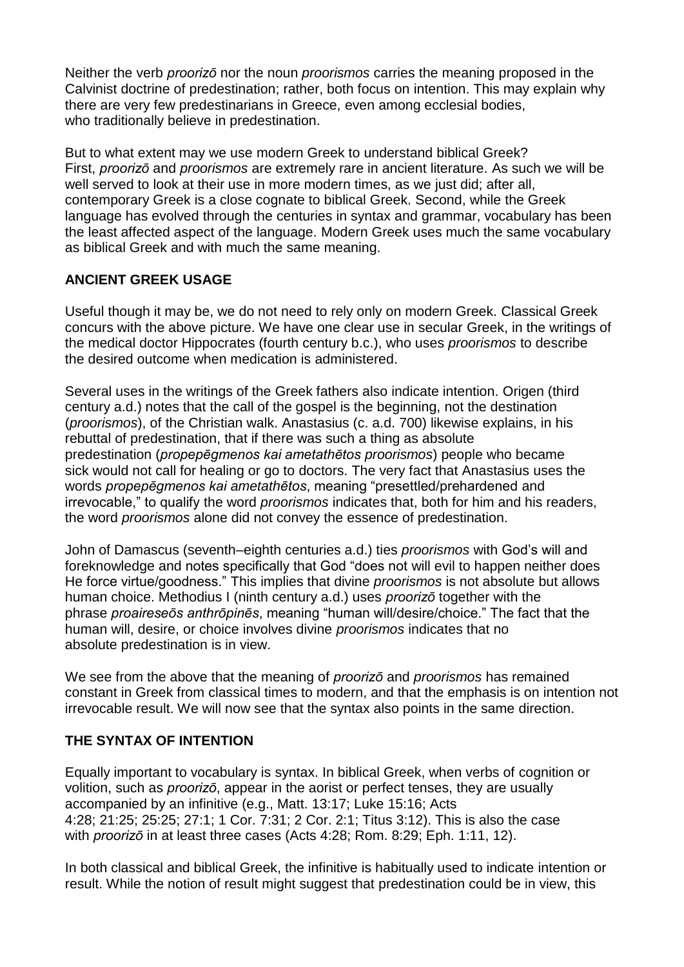Neither the verb *proorizō* nor the noun *proorismos* carries the meaning proposed in the Calvinist doctrine of predestination; rather, both focus on intention. This may explain why there are very few predestinarians in Greece, even among ecclesial bodies, who traditionally believe in predestination.

But to what extent may we use modern Greek to understand biblical Greek? First, *proorizō* and *proorismos* are extremely rare in ancient literature. As such we will be well served to look at their use in more modern times, as we just did; after all, contemporary Greek is a close cognate to biblical Greek. Second, while the Greek language has evolved through the centuries in syntax and grammar, vocabulary has been the least affected aspect of the language. Modern Greek uses much the same vocabulary as biblical Greek and with much the same meaning.

## **ANCIENT GREEK USAGE**

Useful though it may be, we do not need to rely only on modern Greek. Classical Greek concurs with the above picture. We have one clear use in secular Greek, in the writings of the medical doctor Hippocrates (fourth century b.c.), who uses *proorismos* to describe the desired outcome when medication is administered.

Several uses in the writings of the Greek fathers also indicate intention. Origen (third century a.d.) notes that the call of the gospel is the beginning, not the destination (*proorismos*), of the Christian walk. Anastasius (c. a.d. 700) likewise explains, in his rebuttal of predestination, that if there was such a thing as absolute predestination (*propepēgmenos kai ametathētos proorismos*) people who became sick would not call for healing or go to doctors. The very fact that Anastasius uses the words *propepēgmenos kai ametathētos*, meaning "presettled/prehardened and irrevocable," to qualify the word *proorismos* indicates that, both for him and his readers, the word *proorismos* alone did not convey the essence of predestination.

John of Damascus (seventh–eighth centuries a.d.) ties *proorismos* with God's will and foreknowledge and notes specifically that God "does not will evil to happen neither does He force virtue/goodness." This implies that divine *proorismos* is not absolute but allows human choice. Methodius I (ninth century a.d.) uses *proorizō* together with the phrase *proaireseōs anthrōpinēs*, meaning "human will/desire/choice." The fact that the human will, desire, or choice involves divine *proorismos* indicates that no absolute predestination is in view.

We see from the above that the meaning of *proorizō* and *proorismos* has remained constant in Greek from classical times to modern, and that the emphasis is on intention not irrevocable result. We will now see that the syntax also points in the same direction.

## **THE SYNTAX OF INTENTION**

Equally important to vocabulary is syntax. In biblical Greek, when verbs of cognition or volition, such as *proorizō*, appear in the aorist or perfect tenses, they are usually accompanied by an infinitive (e.g., Matt. [13:17;](https://biblia.com/bible/esv/Matt.%2013.17) Luke [15:16;](https://biblia.com/bible/esv/Luke%2015.16) [Acts](https://biblia.com/bible/esv/Acts%204.28) [4:28;](https://biblia.com/bible/esv/Acts%204.28) [21:25;](https://biblia.com/bible/esv/Acts%2021.25) [25:25;](https://biblia.com/bible/esv/Acts%2025.25) [27:1;](https://biblia.com/bible/esv/Acts%2027.1) 1 Cor. [7:31;](https://biblia.com/bible/esv/1%20Cor.%207.31) 2 [Cor.](https://biblia.com/bible/esv/2%20Cor.%202.1) 2:1; [Titus](https://biblia.com/bible/esv/Titus%203.12) 3:12). This is also the case with *proorizō* in at least three cases [\(Acts](https://biblia.com/bible/esv/Acts%204.28) 4:28; [Rom.](https://biblia.com/bible/esv/Rom.%208.29) 8:29; Eph. [1:11,](https://biblia.com/bible/esv/Eph.%201.11) [12\)](https://biblia.com/bible/esv/Eph%201.12).

In both classical and biblical Greek, the infinitive is habitually used to indicate intention or result. While the notion of result might suggest that predestination could be in view, this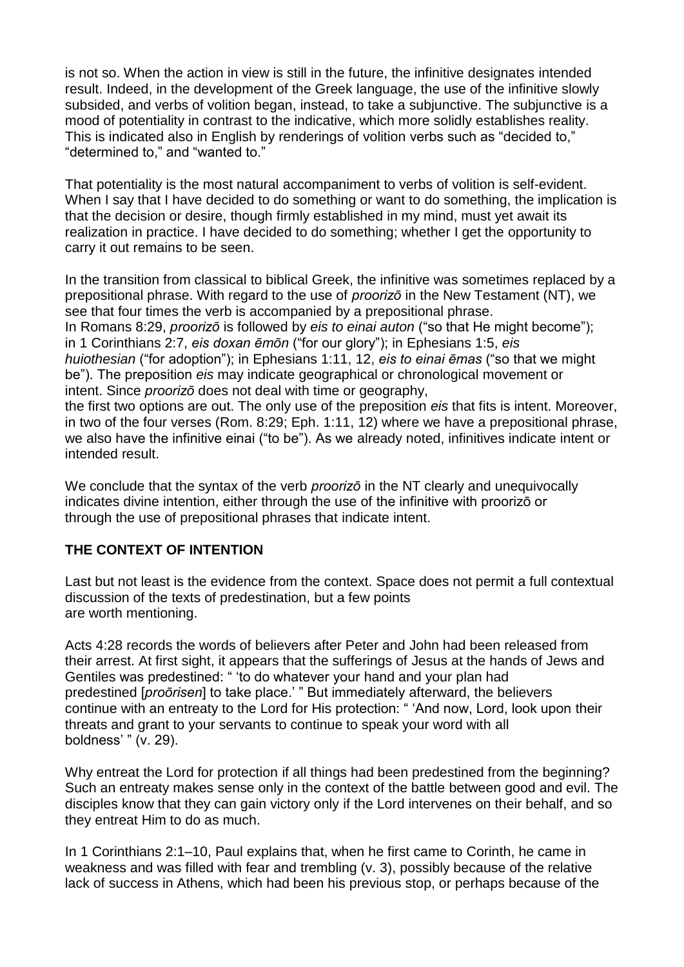is not so. When the action in view is still in the future, the infinitive designates intended result. Indeed, in the development of the Greek language, the use of the infinitive slowly subsided, and verbs of volition began, instead, to take a subjunctive. The subjunctive is a mood of potentiality in contrast to the indicative, which more solidly establishes reality. This is indicated also in English by renderings of volition verbs such as "decided to," "determined to," and "wanted to."

That potentiality is the most natural accompaniment to verbs of volition is self-evident. When I say that I have decided to do something or want to do something, the implication is that the decision or desire, though firmly established in my mind, must yet await its realization in practice. I have decided to do something; whether I get the opportunity to carry it out remains to be seen.

In the transition from classical to biblical Greek, the infinitive was sometimes replaced by a prepositional phrase. With regard to the use of *proorizō* in the New Testament (NT), we see that four times the verb is accompanied by a prepositional phrase. In [Romans](https://biblia.com/bible/esv/Rom%208.29) 8:29, *proorizō* is followed by *eis to einai auton* ("so that He might become"); in 1 [Corinthians](https://biblia.com/bible/esv/1%20Cor%202.7) 2:7, *eis doxan ēmōn* ("for our glory"); in [Ephesians](https://biblia.com/bible/esv/Eph%201.5) 1:5, *eis huiothesian* ("for adoption"); in [Ephesians](https://biblia.com/bible/esv/Eph%201.11) 1:11, [12,](https://biblia.com/bible/esv/Ephesians%201.12) *eis to einai ēmas* ("so that we might be"). The preposition *eis* may indicate geographical or chronological movement or intent. Since *proorizō* does not deal with time or geography,

the first two options are out. The only use of the preposition *eis* that fits is intent. Moreover, in two of the four verses [\(Rom.](https://biblia.com/bible/esv/Rom.%208.29) 8:29; Eph. [1:11,](https://biblia.com/bible/esv/Eph.%201.11) [12\)](https://biblia.com/bible/esv/Eph%201.12) where we have a prepositional phrase, we also have the infinitive einai ("to be"). As we already noted, infinitives indicate intent or intended result.

We conclude that the syntax of the verb *proorizō* in the NT clearly and unequivocally indicates divine intention, either through the use of the infinitive with proorizō or through the use of prepositional phrases that indicate intent.

### **THE CONTEXT OF INTENTION**

Last but not least is the evidence from the context. Space does not permit a full contextual discussion of the texts of predestination, but a few points are worth mentioning.

[Acts](https://biblia.com/bible/esv/Acts%204.28) 4:28 records the words of believers after Peter and John had been released from their arrest. At first sight, it appears that the sufferings of Jesus at the hands of Jews and Gentiles was predestined: " 'to do whatever your hand and your plan had predestined [*proōrisen*] to take place.' " But immediately afterward, the believers continue with an entreaty to the Lord for His protection: " 'And now, Lord, look upon their threats and grant to your servants to continue to speak your word with all boldness' " (v. 29).

Why entreat the Lord for protection if all things had been predestined from the beginning? Such an entreaty makes sense only in the context of the battle between good and evil. The disciples know that they can gain victory only if the Lord intervenes on their behalf, and so they entreat Him to do as much.

In 1 [Corinthians](https://biblia.com/bible/esv/1%20Cor%202.1%E2%80%9310) 2:1–10, Paul explains that, when he first came to Corinth, he came in weakness and was filled with fear and trembling (v. 3), possibly because of the relative lack of success in Athens, which had been his previous stop, or perhaps because of the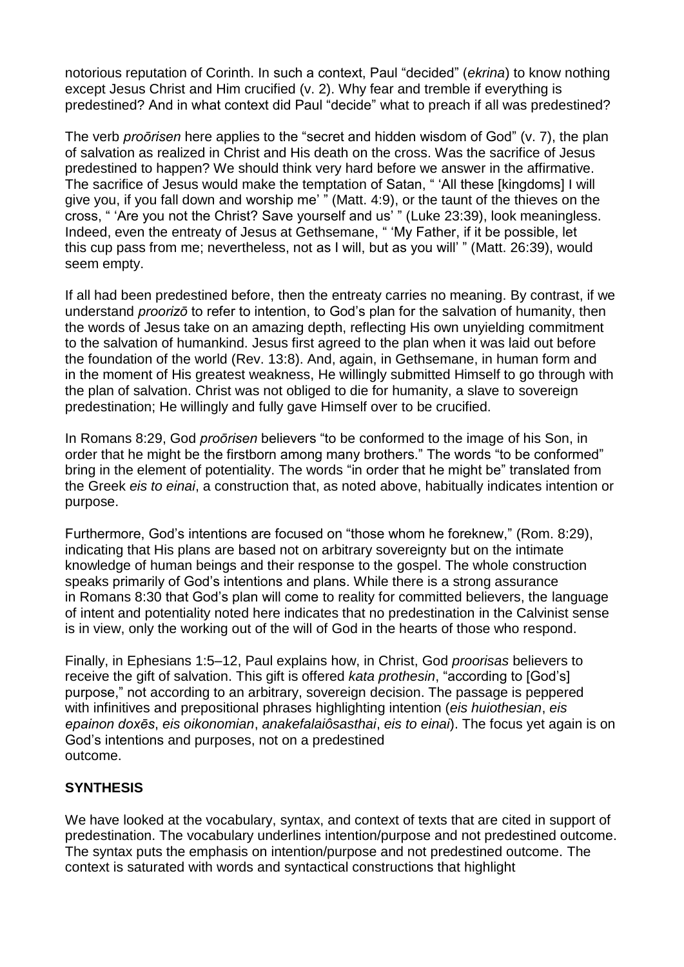notorious reputation of Corinth. In such a context, Paul "decided" (*ekrina*) to know nothing except Jesus Christ and Him crucified (v. 2). Why fear and tremble if everything is predestined? And in what context did Paul "decide" what to preach if all was predestined?

The verb *proōrisen* here applies to the "secret and hidden wisdom of God" (v. 7), the plan of salvation as realized in Christ and His death on the cross. Was the sacrifice of Jesus predestined to happen? We should think very hard before we answer in the affirmative. The sacrifice of Jesus would make the temptation of Satan, " 'All these [kingdoms] I will give you, if you fall down and worship me' " [\(Matt.](https://biblia.com/bible/esv/Matt.%204.9) 4:9), or the taunt of the thieves on the cross, " 'Are you not the Christ? Save yourself and us' " (Luke [23:39\)](https://biblia.com/bible/esv/Luke%2023.39), look meaningless. Indeed, even the entreaty of Jesus at Gethsemane, " 'My Father, if it be possible, let this cup pass from me; nevertheless, not as I will, but as you will' " (Matt. [26:39\)](https://biblia.com/bible/esv/Matt.%2026.39), would seem empty.

If all had been predestined before, then the entreaty carries no meaning. By contrast, if we understand *proorizō* to refer to intention, to God's plan for the salvation of humanity, then the words of Jesus take on an amazing depth, reflecting His own unyielding commitment to the salvation of humankind. Jesus first agreed to the plan when it was laid out before the foundation of the world [\(Rev.](https://biblia.com/bible/esv/Rev.%2013.8) 13:8). And, again, in Gethsemane, in human form and in the moment of His greatest weakness, He willingly submitted Himself to go through with the plan of salvation. Christ was not obliged to die for humanity, a slave to sovereign predestination; He willingly and fully gave Himself over to be crucified.

In [Romans](https://biblia.com/bible/esv/Rom%208.29) 8:29, God *proōrisen* believers "to be conformed to the image of his Son, in order that he might be the firstborn among many brothers." The words "to be conformed" bring in the element of potentiality. The words "in order that he might be" translated from the Greek *eis to einai*, a construction that, as noted above, habitually indicates intention or purpose.

Furthermore, God's intentions are focused on "those whom he foreknew," [\(Rom.](https://biblia.com/bible/esv/Rom.%208.29) 8:29), indicating that His plans are based not on arbitrary sovereignty but on the intimate knowledge of human beings and their response to the gospel. The whole construction speaks primarily of God's intentions and plans. While there is a strong assurance in [Romans](https://biblia.com/bible/esv/Rom%208.30) 8:30 that God's plan will come to reality for committed believers, the language of intent and potentiality noted here indicates that no predestination in the Calvinist sense is in view, only the working out of the will of God in the hearts of those who respond.

Finally, in [Ephesians](https://biblia.com/bible/esv/Eph%201.5%E2%80%9312) 1:5–12, Paul explains how, in Christ, God *proorisas* believers to receive the gift of salvation. This gift is offered *kata prothesin*, "according to [God's] purpose," not according to an arbitrary, sovereign decision. The passage is peppered with infinitives and prepositional phrases highlighting intention (*eis huiothesian*, *eis epainon doxēs*, *eis oikonomian*, *anakefalaiôsasthai*, *eis to einai*). The focus yet again is on God's intentions and purposes, not on a predestined outcome.

### **SYNTHESIS**

We have looked at the vocabulary, syntax, and context of texts that are cited in support of predestination. The vocabulary underlines intention/purpose and not predestined outcome. The syntax puts the emphasis on intention/purpose and not predestined outcome. The context is saturated with words and syntactical constructions that highlight